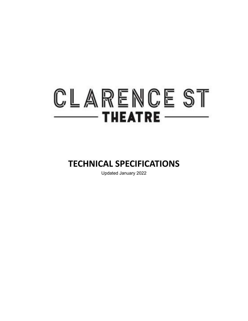# CLARENCE ST  $-$  THEATRE  $-$

### **TECHNICAL SPECIFICATIONS**

Updated January 2022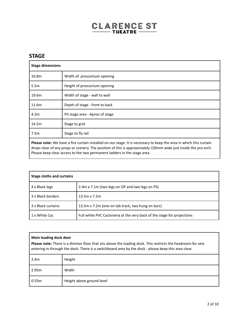#### **STAGE**

| <b>Stage dimensions</b>                                                                                                   |                                 |
|---------------------------------------------------------------------------------------------------------------------------|---------------------------------|
| 10.8 <sub>m</sub>                                                                                                         | Width of proscenium opening     |
| 5.5 <sub>m</sub>                                                                                                          | Height of proscenium opening    |
| 19.6m                                                                                                                     | Width of stage - wall to wall   |
| 11.6m                                                                                                                     | Depth of stage - front to back  |
| 4.2 <sub>m</sub>                                                                                                          | Pit stage area - Apron of stage |
| 14.5m                                                                                                                     | Stage to grid                   |
| 7.5m                                                                                                                      | Stage to fly rail               |
| <b>Dlease note:</b> We have a fire curtain installed on our stage. It is necessary to keep the area in which this curtain |                                 |

**Please note:** We have a fire curtain installed on our stage. It is necessary to keep the area in which this curtain drops clear of any props or scenery. The position of this is approximately 150mm wide just inside the pro arch. Please keep clear access to the two permanent ladders in the stage area.

| <b>Stage cloths and curtains</b> |                                                                        |
|----------------------------------|------------------------------------------------------------------------|
| 4 x Black legs                   | 2.4m x 7.1m (two legs on OP and two legs on PS)                        |
| 3 x Black borders                | $13.5m \times 7.2m$                                                    |
| 3 x Black curtains               | 13.5m x 7.2m (one on tab track, two hung on bars)                      |
| 1 x White Cyc                    | Full white PVC Cyclorama at the very back of the stage for projections |

| Main loading dock door<br><b>Please note:</b> There is a dimmer floor that sits above the loading dock. This restricts the headroom for sets<br>entering in through the dock. There is a switchboard area by the dock - please keep this area clear. |                           |
|------------------------------------------------------------------------------------------------------------------------------------------------------------------------------------------------------------------------------------------------------|---------------------------|
| 2.4 <sub>m</sub>                                                                                                                                                                                                                                     | Height                    |
| 2.95m                                                                                                                                                                                                                                                | Width                     |
| 0.55m                                                                                                                                                                                                                                                | Height above ground level |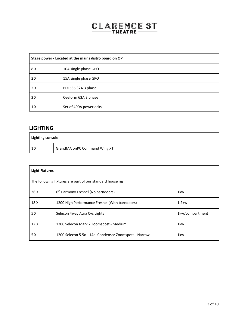| Stage power - Located at the mains distro board on OP |                        |
|-------------------------------------------------------|------------------------|
| 8 X                                                   | 10A single phase GPO   |
| 2X                                                    | 15A single phase GPO   |
| 2X                                                    | PDL565 32A 3 phase     |
| 2X                                                    | Ceeform 63A 3 phase    |
| 1X                                                    | Set of 400A powerlocks |

#### **LIGHTING**

| Lighting console |                              |
|------------------|------------------------------|
|                  | GrandMA onPC Command Wing XT |

| <b>Light Fixtures</b>                                     |                                                      |                 |
|-----------------------------------------------------------|------------------------------------------------------|-----------------|
| The following fixtures are part of our standard house rig |                                                      |                 |
| 36 X                                                      | 6" Harmony Fresnel (No barndoors)                    | 1 <sub>kw</sub> |
| 18 X                                                      | 1200 High Performance Fresnel (With barndoors)       | 1.2kw           |
| 5 X                                                       | Selecon 4way Aura Cyc Lights                         | 1kw/compartment |
| 12X                                                       | 1200 Selecon Mark 2 Zoomspost - Medium               | 1 <sub>kw</sub> |
| 5 X                                                       | 1200 Selecon 5.5o - 14o Condensor Zoomspots - Narrow | 1kw             |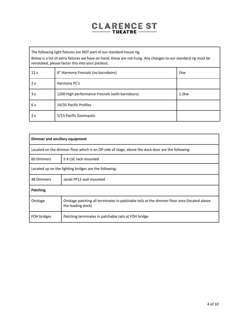The following light fixtures are NOT part of our standard house rig.

Below is a list of extra fixtures we have on hand, these are not hung. Any changes to our standard rig must be reinstated, please factor this into your packout.

| 11x | 6" Harmony Fresnals (no barndoors)              | 1 <sub>kw</sub> |
|-----|-------------------------------------------------|-----------------|
| 2x  | Harmony PC's                                    |                 |
| 3x  | 1200 High performance Fresnals (with barndoors) | 1.2kw           |
| 6 x | 14/35 Pacific Profiles                          |                 |
| 2x  | 5/13 Pacific Zoomspots                          |                 |

| Dimmer and ancillary equipment                                                                   |                                                                                                                 |  |
|--------------------------------------------------------------------------------------------------|-----------------------------------------------------------------------------------------------------------------|--|
| Located on the dimmer floor which is on OP side of stage, above the dock door are the following: |                                                                                                                 |  |
| 60 Dimmers                                                                                       | 5 X LSC rack mounted                                                                                            |  |
| Located up on the lighting bridges are the following:                                            |                                                                                                                 |  |
| 48 Dimmers                                                                                       | Jands FP12 wall mounted                                                                                         |  |
| Patching                                                                                         |                                                                                                                 |  |
| Onstage                                                                                          | Onstage patching all terminates in patchable tails at the dimmer floor area (located above<br>the loading dock) |  |
| FOH bridges                                                                                      | Patching terminates in patchable tails at FOH bridge                                                            |  |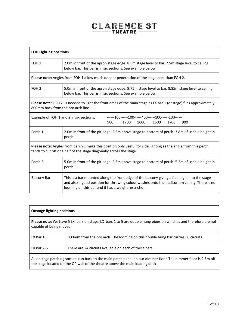| <b>FOH Lighting positions</b>                                                                                                                                                                |                                                                                                                                                                                                                                                      |  |
|----------------------------------------------------------------------------------------------------------------------------------------------------------------------------------------------|------------------------------------------------------------------------------------------------------------------------------------------------------------------------------------------------------------------------------------------------------|--|
| FOH <sub>1</sub>                                                                                                                                                                             | 2.0m in front of the apron stage edge. 8.5m stage level to bar. 7.5m stage level to ceiling<br>below bar. This bar is in six sections. See example below.                                                                                            |  |
|                                                                                                                                                                                              | <b>Please note:</b> Angles from FOH 1 allow much deeper penetration of the stage area than FOH 2.                                                                                                                                                    |  |
| FOH <sub>2</sub>                                                                                                                                                                             | 5.0m in front of the apron stage edge. 9.75m stage level to bar. 8.85m stage level to ceiling<br>below bar. This bar is in six sections. See example below.                                                                                          |  |
| Please note: FOH 2 is needed to light the front areas of the main stage as LX bar 1 (onstage) flies approximately<br>800mm back from the pro arch line.                                      |                                                                                                                                                                                                                                                      |  |
| ------100------100------400------100------100------<br>Example of FOH 1 and 2 in six sections:<br>900<br>1700<br>1600<br>1600<br>1700<br>900                                                 |                                                                                                                                                                                                                                                      |  |
| Perch 1                                                                                                                                                                                      | 2.0m in front of the pit edge. 2.6m above stage to bottom of perch. 3.8m of usable height in<br>perch.                                                                                                                                               |  |
| <b>Please note:</b> Angles from perch 1 make this position only useful for side lighting as the angle from this perch<br>tends to cut off one half of the stage diagonally across the stage. |                                                                                                                                                                                                                                                      |  |
| Perch <sub>2</sub>                                                                                                                                                                           | 5.0m in front of the pit edge. 2.6m above stage to bottom of perch. 5.2m of usable height in<br>perch.                                                                                                                                               |  |
| <b>Balcony Bar</b>                                                                                                                                                                           | This is a bar mounted along the front edge of the balcony giving a flat angle into the stage<br>and also a good position for throwing colour washes onto the auditorium ceiling. There is no<br>looming on this bar and it has a weight restriction. |  |

| <b>Onstage lighting positions</b>                                                                                                                                                              |                                                                                  |
|------------------------------------------------------------------------------------------------------------------------------------------------------------------------------------------------|----------------------------------------------------------------------------------|
| <b>Please note:</b> We have 5 LX bars on stage. LX bars 1 to 5 are double hung pipes on winches and therefore are not<br>capable of being moved.                                               |                                                                                  |
| LX Bar 1                                                                                                                                                                                       | 800mm from the pro arch. The looming on this double hung bar carries 30 circuits |
| $LX$ Bar 2-5                                                                                                                                                                                   | There are 24 circuits available on each of these bars                            |
| All onstage patching sockets run back to the main patch panel on our dimmer floor. The dimmer floor is 2.5m off<br>the stage located on the OP wall of the theatre above the main loading dock |                                                                                  |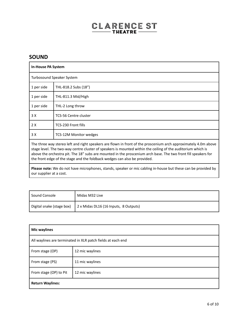#### **SOUND**

| <b>In-House PA System</b>                                                                                                                                                                                                                                                                                                                                                                                                      |                               |
|--------------------------------------------------------------------------------------------------------------------------------------------------------------------------------------------------------------------------------------------------------------------------------------------------------------------------------------------------------------------------------------------------------------------------------|-------------------------------|
| Turbosound Speaker System                                                                                                                                                                                                                                                                                                                                                                                                      |                               |
| 1 per side                                                                                                                                                                                                                                                                                                                                                                                                                     | THL-818.2 Subs (18")          |
| 1 per side                                                                                                                                                                                                                                                                                                                                                                                                                     | THL-811.3 Mid/High            |
| 1 per side                                                                                                                                                                                                                                                                                                                                                                                                                     | THL-2 Long throw              |
| 3 X                                                                                                                                                                                                                                                                                                                                                                                                                            | <b>TCS-56 Centre cluster</b>  |
| 2X                                                                                                                                                                                                                                                                                                                                                                                                                             | TCS-230 Front fills           |
| 3 X                                                                                                                                                                                                                                                                                                                                                                                                                            | <b>TCS-12M Monitor wedges</b> |
| The three way stereo left and right speakers are flown in front of the proscenium arch approximately 4.0m above<br>stage level. The two-way centre cluster of speakers is mounted within the ceiling of the auditorium which is<br>above the orchestra pit. The 18" subs are mounted in the proscenium arch base. The two front fill speakers for<br>the front edge of the stage and the foldback wedges can also be provided. |                               |

**Please note:** We do not have microphones, stands, speaker or mic cabling in-house but these can be provided by our supplier at a cost.

| Sound Console             | Midas M32 Live                        |
|---------------------------|---------------------------------------|
| Digital snake (stage box) | 2 x Midas DL16 (16 Inputs, 8 Outputs) |

| <b>Mic waylines</b>                                         |                 |  |  |  |
|-------------------------------------------------------------|-----------------|--|--|--|
| All waylines are terminated in XLR patch fields at each end |                 |  |  |  |
| From stage (OP)                                             | 12 mic waylines |  |  |  |
| From stage (PS)                                             | 11 mic waylines |  |  |  |
| From stage (OP) to Pit                                      | 12 mic waylines |  |  |  |
| <b>Return Waylines:</b>                                     |                 |  |  |  |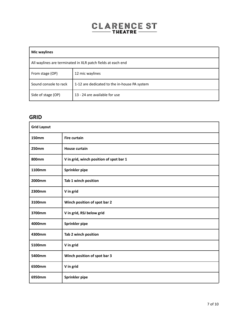| Mic waylines                                                |                                              |  |  |  |
|-------------------------------------------------------------|----------------------------------------------|--|--|--|
| All waylines are terminated in XLR patch fields at each end |                                              |  |  |  |
| From stage (OP)                                             | 12 mic waylines                              |  |  |  |
| Sound console to rack                                       | 1-12 are dedicated to the in-house PA system |  |  |  |
| Side of stage (OP)                                          | 13 - 24 are available for use                |  |  |  |

#### **GRID**

| <b>Grid Layout</b> |                                         |  |  |
|--------------------|-----------------------------------------|--|--|
| <b>150mm</b>       | <b>Fire curtain</b>                     |  |  |
| 250mm              | <b>House curtain</b>                    |  |  |
| 800mm              | V in grid, winch position of spot bar 1 |  |  |
| 1100mm             | Sprinkler pipe                          |  |  |
| 2000mm             | Tab 1 winch position                    |  |  |
| 2300mm             | V in grid                               |  |  |
| 3100mm             | Winch position of spot bar 2            |  |  |
| 3700mm             | V in grid, RSJ below grid               |  |  |
| 4000mm             | Sprinkler pipe                          |  |  |
| 4300mm             | Tab 2 winch position                    |  |  |
| 5100mm             | V in grid                               |  |  |
| 5400mm             | Winch position of spot bar 3            |  |  |
| 6500mm             | V in grid                               |  |  |
| 6950mm             | Sprinkler pipe                          |  |  |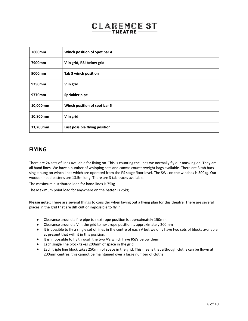| 7600mm   | Winch position of Spot bar 4  |
|----------|-------------------------------|
| 7900mm   | V in grid, RSJ below grid     |
| 9000mm   | Tab 3 winch position          |
| 9250mm   | V in grid                     |
| 9770mm   | Sprinkler pipe                |
| 10,000mm | Winch position of spot bar 5  |
| 10,800mm | V in grid                     |
| 11,200mm | Last possible flying position |

#### **FLYING**

There are 24 sets of lines available for flying on. This is counting the lines we normally fly our masking on. They are all hand lines. We have a number of whipping sets and canvas counterweight bags available. There are 3 tab bars single hung on winch lines which are operated from the PS stage floor level. The SWL on the winches is 300kg. Our wooden head battens are 13.5m long. There are 3 tab tracks available.

The maximum distributed load for hand lines is 75kg

The Maximum point load for anywhere on the batten is 25kg

**Please note::** There are several things to consider when laying out a flying plan for this theatre. There are several places in the grid that are difficult or impossible to fly in.

- Clearance around a fire pipe to next rope position is approximately 150mm
- Clearance around a V in the grid to next rope position is approximately 200mm
- It is possible to fly a single set of lines in the centre of each V but we only have two sets of blocks available at present that will fit in this position.
- It is impossible to fly through the two V's which have RSJ's below them
- Each single line block takes 200mm of space in the grid
- Each triple line block takes 250mm of space in the grid. This means that although cloths can be flown at 200mm centres, this cannot be maintained over a large number of cloths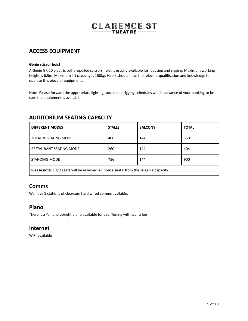#### **ACCESS EQUIPMENT**

#### **Genie scissor hoist**

A Genie GR 20 electric self-propelled scissors hoist is usually available for focusing and rigging. Maximum working height is 6.5m. Maximum lift capacity is 150kg. Hirers should have the relevant qualification and knowledge to operate this piece of equipment.

Note: Please forward the appropriate lighting, sound and rigging schedules well in advance of your booking to be sure the equipment is available

#### **AUDITORIUM SEATING CAPACITY**

| <b>DIFFERENT MODES</b>                                                                | <b>STALLS</b> | <b>BALCONY</b> | <b>TOTAL</b> |  |  |  |
|---------------------------------------------------------------------------------------|---------------|----------------|--------------|--|--|--|
| THEATRE SEATING MODE                                                                  | 406           | 144            | 550          |  |  |  |
| <b>RESTAURANT SEATING MODE</b>                                                        | 260           | 144            | 404          |  |  |  |
| <b>STANDING MODE</b>                                                                  | 756           | 144            | 900          |  |  |  |
| Please note: Eight seats will be reserved as 'house seats' from the saleable capacity |               |                |              |  |  |  |

#### **Comms**

We have 5 stations of clearcom hard wired comms available.

#### **Piano**

There is a Yamaha upright piano available for use. Tuning will incur a fee

#### **Internet**

WIFI available